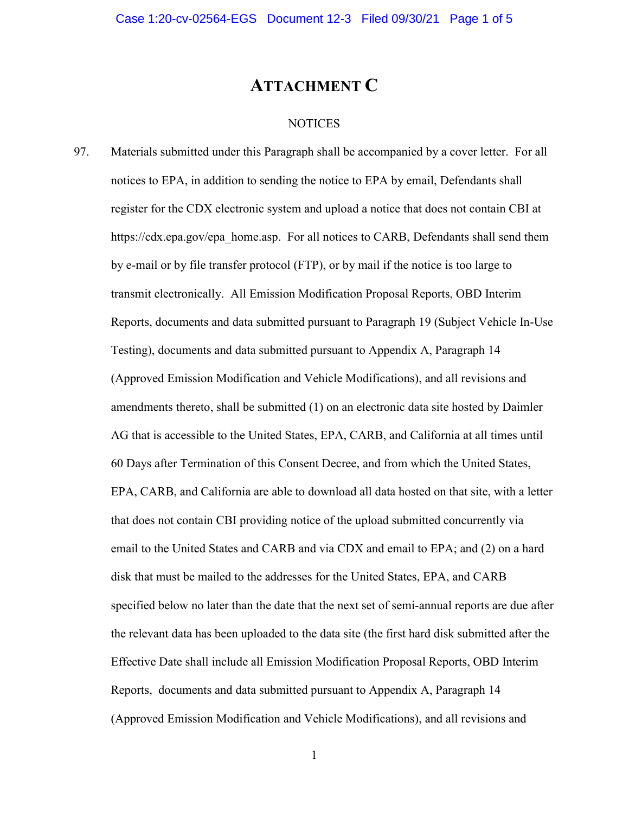## ATTACHMENT C

## **NOTICES**

97. Materials submitted under this Paragraph shall be accompanied by a cover letter. For all notices to EPA, in addition to sending the notice to EPA by email, Defendants shall register for the CDX electronic system and upload a notice that does not contain CBI at https://cdx.epa.gov/epa\_home.asp. For all notices to CARB, Defendants shall send them by e-mail or by file transfer protocol (FTP), or by mail if the notice is too large to transmit electronically. All Emission Modification Proposal Reports, OBD Interim Reports, documents and data submitted pursuant to Paragraph 19 (Subject Vehicle In-Use Testing), documents and data submitted pursuant to Appendix A, Paragraph 14 (Approved Emission Modification and Vehicle Modifications), and all revisions and amendments thereto, shall be submitted (1) on an electronic data site hosted by Daimler AG that is accessible to the United States, EPA, CARB, and California at all times until 60 Days after Termination of this Consent Decree, and from which the United States, EPA, CARB, and California are able to download all data hosted on that site, with a letter that does not contain CBI providing notice of the upload submitted concurrently via email to the United States and CARB and via CDX and email to EPA; and (2) on a hard disk that must be mailed to the addresses for the United States, EPA, and CARB specified below no later than the date that the next set of semi-annual reports are due after the relevant data has been uploaded to the data site (the first hard disk submitted after the Effective Date shall include all Emission Modification Proposal Reports, OBD Interim Reports, documents and data submitted pursuant to Appendix A, Paragraph 14 (Approved Emission Modification and Vehicle Modifications), and all revisions and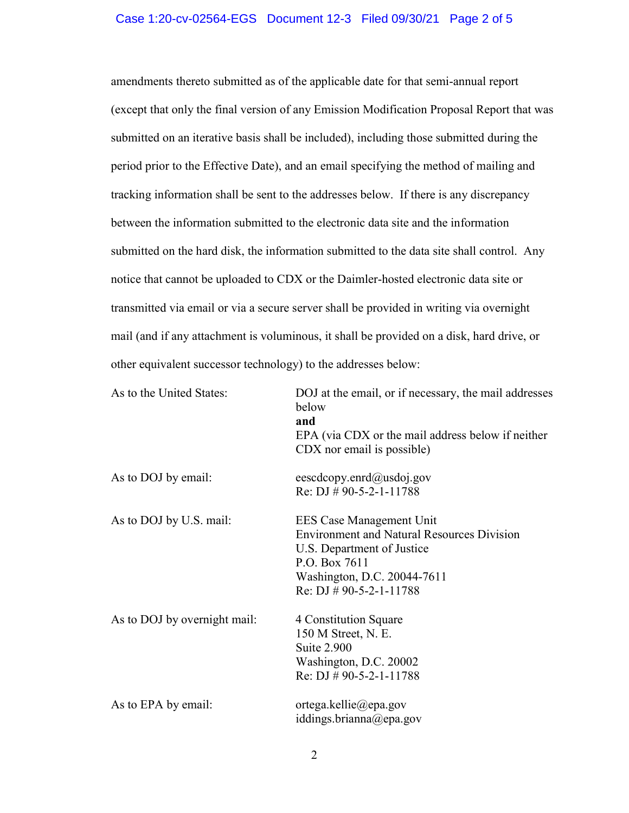## Case 1:20-cv-02564-EGS Document 12-3 Filed 09/30/21 Page 2 of 5

amendments thereto submitted as of the applicable date for that semi-annual report (except that only the final version of any Emission Modification Proposal Report that was submitted on an iterative basis shall be included), including those submitted during the period prior to the Effective Date), and an email specifying the method of mailing and tracking information shall be sent to the addresses below. If there is any discrepancy between the information submitted to the electronic data site and the information submitted on the hard disk, the information submitted to the data site shall control. Any notice that cannot be uploaded to CDX or the Daimler-hosted electronic data site or transmitted via email or via a secure server shall be provided in writing via overnight mail (and if any attachment is voluminous, it shall be provided on a disk, hard drive, or other equivalent successor technology) to the addresses below:

| As to the United States:     | DOJ at the email, or if necessary, the mail addresses<br>below<br>and<br>EPA (via CDX or the mail address below if neither<br>CDX nor email is possible)                                  |
|------------------------------|-------------------------------------------------------------------------------------------------------------------------------------------------------------------------------------------|
| As to DOJ by email:          | eescdcopy.enrd@usdoj.gov<br>Re: DJ $\#$ 90-5-2-1-11788                                                                                                                                    |
| As to DOJ by U.S. mail:      | EES Case Management Unit<br><b>Environment and Natural Resources Division</b><br>U.S. Department of Justice<br>P.O. Box 7611<br>Washington, D.C. 20044-7611<br>Re: DJ $\#$ 90-5-2-1-11788 |
| As to DOJ by overnight mail: | 4 Constitution Square<br>150 M Street, N. E.<br><b>Suite 2.900</b><br>Washington, D.C. 20002<br>Re: DJ $\#$ 90-5-2-1-11788                                                                |
| As to EPA by email:          | ortega.kellie@epa.gov<br>iddings.brianna@epa.gov                                                                                                                                          |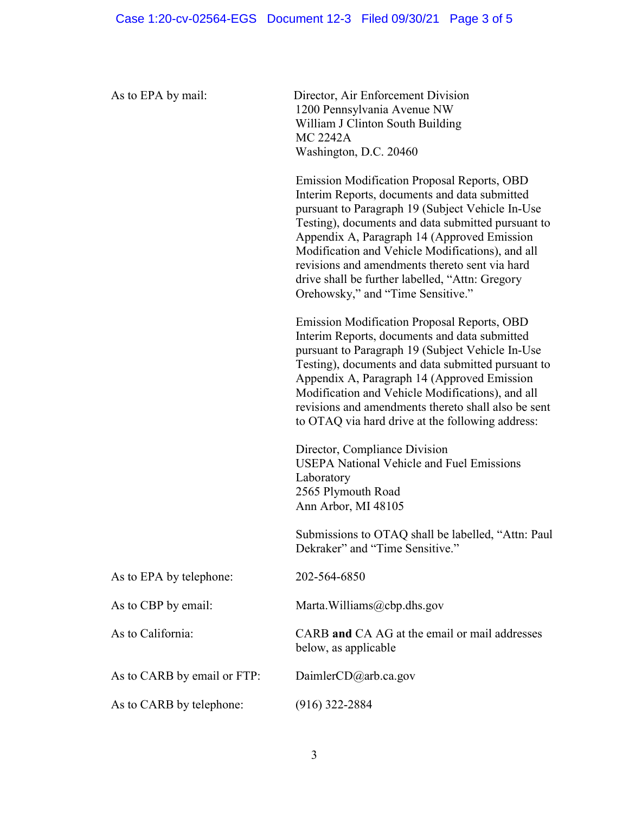As to EPA by mail: Director, Air Enforcement Division 1200 Pennsylvania Avenue NW William J Clinton South Building MC 2242A Washington, D.C. 20460

> Emission Modification Proposal Reports, OBD Interim Reports, documents and data submitted pursuant to Paragraph 19 (Subject Vehicle In-Use Testing), documents and data submitted pursuant to Appendix A, Paragraph 14 (Approved Emission Modification and Vehicle Modifications), and all revisions and amendments thereto sent via hard drive shall be further labelled, "Attn: Gregory Orehowsky," and "Time Sensitive."

> Emission Modification Proposal Reports, OBD Interim Reports, documents and data submitted pursuant to Paragraph 19 (Subject Vehicle In-Use Testing), documents and data submitted pursuant to Appendix A, Paragraph 14 (Approved Emission Modification and Vehicle Modifications), and all revisions and amendments thereto shall also be sent to OTAQ via hard drive at the following address:

Director, Compliance Division USEPA National Vehicle and Fuel Emissions Laboratory 2565 Plymouth Road Ann Arbor, MI 48105

Submissions to OTAQ shall be labelled, "Attn: Paul Dekraker" and "Time Sensitive."

| As to EPA by telephone:     | 202-564-6850                                                          |
|-----------------------------|-----------------------------------------------------------------------|
| As to CBP by email:         | Marta. Williams $(a)$ cbp.dhs.gov                                     |
| As to California:           | CARB and CA AG at the email or mail addresses<br>below, as applicable |
| As to CARB by email or FTP: | Daimler $CD$ @arb.ca.gov                                              |
| As to CARB by telephone:    | $(916)$ 322-2884                                                      |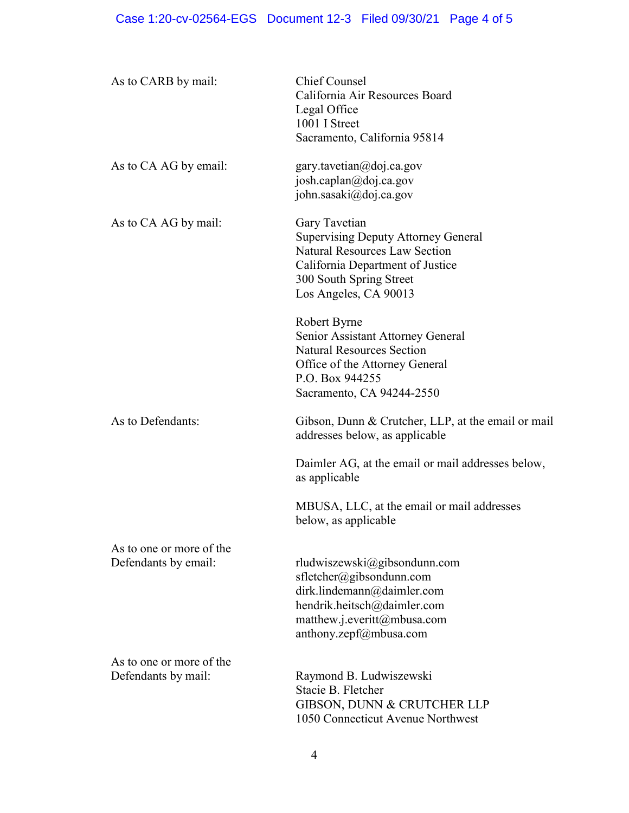| As to CARB by mail:                              | <b>Chief Counsel</b><br>California Air Resources Board<br>Legal Office<br>1001 I Street<br>Sacramento, California 95814                                                                     |
|--------------------------------------------------|---------------------------------------------------------------------------------------------------------------------------------------------------------------------------------------------|
| As to CA AG by email:                            | gary.tavetian@doj.ca.gov<br>josh.caplan@doj.ca.gov<br>john.sasaki@doj.ca.gov                                                                                                                |
| As to CA AG by mail:                             | Gary Tavetian<br><b>Supervising Deputy Attorney General</b><br><b>Natural Resources Law Section</b><br>California Department of Justice<br>300 South Spring Street<br>Los Angeles, CA 90013 |
|                                                  | Robert Byrne<br>Senior Assistant Attorney General<br><b>Natural Resources Section</b><br>Office of the Attorney General<br>P.O. Box 944255<br>Sacramento, CA 94244-2550                     |
| As to Defendants:                                | Gibson, Dunn & Crutcher, LLP, at the email or mail<br>addresses below, as applicable                                                                                                        |
|                                                  | Daimler AG, at the email or mail addresses below,<br>as applicable                                                                                                                          |
|                                                  | MBUSA, LLC, at the email or mail addresses<br>below, as applicable                                                                                                                          |
| As to one or more of the<br>Defendants by email: | rludwiszewski@gibsondunn.com<br>sfletcher@gibsondunn.com<br>dirk.lindemann@daimler.com<br>hendrik.heitsch@daimler.com<br>matthew.j.everitt@mbusa.com<br>anthony.zepf@mbusa.com              |
| As to one or more of the<br>Defendants by mail:  | Raymond B. Ludwiszewski<br>Stacie B. Fletcher<br>GIBSON, DUNN & CRUTCHER LLP<br>1050 Connecticut Avenue Northwest                                                                           |